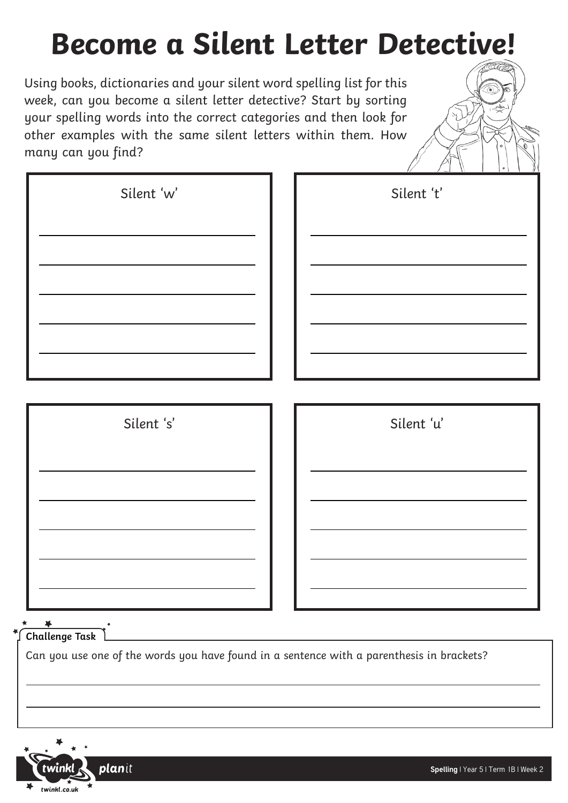## **Become a Silent Letter Detective!**

Using books, dictionaries and your silent word spelling list for this week, can you become a silent letter detective? Start by sorting your spelling words into the correct categories and then look for other examples with the same silent letters within them. How many can you find?

| Silent 'w' | Silent 't' |
|------------|------------|
|            |            |
|            |            |
|            |            |
|            |            |
|            |            |

| Silent 's'                                                                                | Silent 'u' |
|-------------------------------------------------------------------------------------------|------------|
|                                                                                           |            |
|                                                                                           |            |
|                                                                                           |            |
|                                                                                           |            |
|                                                                                           |            |
|                                                                                           |            |
| Challenge Task $\lfloor$                                                                  |            |
| Can you use one of the words you have found in a sentence with a parenthesis in brackets? |            |